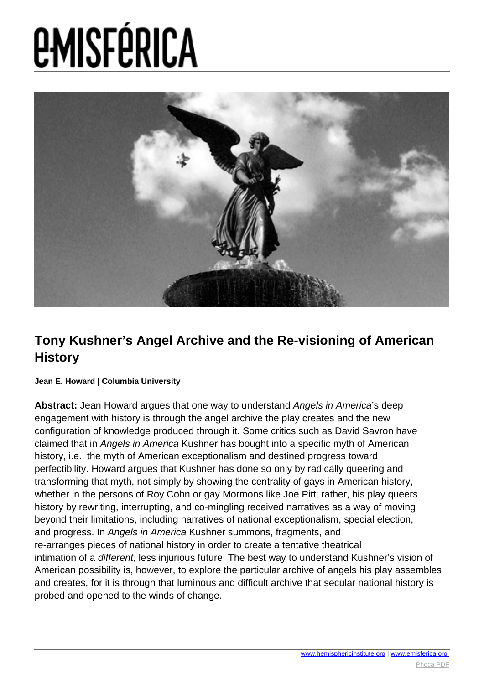

#### **Tony Kushner's Angel Archive and the Re-visioning of American History**

#### **Jean E. Howard | Columbia University**

**Abstract:** Jean Howard argues that one way to understand Angels in America's deep engagement with history is through the angel archive the play creates and the new configuration of knowledge produced through it. Some critics such as David Savron have claimed that in Angels in America Kushner has bought into a specific myth of American history, i.e., the myth of American exceptionalism and destined progress toward perfectibility. Howard argues that Kushner has done so only by radically queering and transforming that myth, not simply by showing the centrality of gays in American history, whether in the persons of Roy Cohn or gay Mormons like Joe Pitt; rather, his play queers history by rewriting, interrupting, and co-mingling received narratives as a way of moving beyond their limitations, including narratives of national exceptionalism, special election, and progress. In Angels in America Kushner summons, fragments, and re-arranges pieces of national history in order to create a tentative theatrical intimation of a different, less injurious future. The best way to understand Kushner's vision of American possibility is, however, to explore the particular archive of angels his play assembles and creates, for it is through that luminous and difficult archive that secular national history is probed and opened to the winds of change.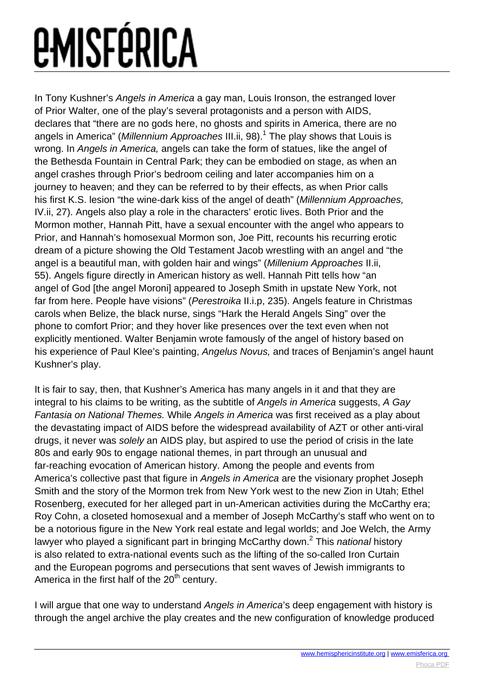In Tony Kushner's Angels in America a gay man, Louis Ironson, the estranged lover of Prior Walter, one of the play's several protagonists and a person with AIDS, declares that "there are no gods here, no ghosts and spirits in America, there are no angels in America" (*Millennium Approaches* III.ii, 98).<sup>1</sup> The play shows that Louis is wrong. In Angels in America, angels can take the form of statues, like the angel of the Bethesda Fountain in Central Park; they can be embodied on stage, as when an angel crashes through Prior's bedroom ceiling and later accompanies him on a journey to heaven; and they can be referred to by their effects, as when Prior calls his first K.S. lesion "the wine-dark kiss of the angel of death" (Millennium Approaches, IV.ii, 27). Angels also play a role in the characters' erotic lives. Both Prior and the Mormon mother, Hannah Pitt, have a sexual encounter with the angel who appears to Prior, and Hannah's homosexual Mormon son, Joe Pitt, recounts his recurring erotic dream of a picture showing the Old Testament Jacob wrestling with an angel and "the angel is a beautiful man, with golden hair and wings" (Millenium Approaches II.ii, 55). Angels figure directly in American history as well. Hannah Pitt tells how "an angel of God [the angel Moroni] appeared to Joseph Smith in upstate New York, not far from here. People have visions" (Perestroika II.i.p, 235). Angels feature in Christmas carols when Belize, the black nurse, sings "Hark the Herald Angels Sing" over the phone to comfort Prior; and they hover like presences over the text even when not explicitly mentioned. Walter Benjamin wrote famously of the angel of history based on his experience of Paul Klee's painting, Angelus Novus, and traces of Benjamin's angel haunt Kushner's play.

It is fair to say, then, that Kushner's America has many angels in it and that they are integral to his claims to be writing, as the subtitle of Angels in America suggests, A Gay Fantasia on National Themes. While Angels in America was first received as a play about the devastating impact of AIDS before the widespread availability of AZT or other anti-viral drugs, it never was solely an AIDS play, but aspired to use the period of crisis in the late 80s and early 90s to engage national themes, in part through an unusual and far-reaching evocation of American history. Among the people and events from America's collective past that figure in Angels in America are the visionary prophet Joseph Smith and the story of the Mormon trek from New York west to the new Zion in Utah; Ethel Rosenberg, executed for her alleged part in un-American activities during the McCarthy era; Roy Cohn, a closeted homosexual and a member of Joseph McCarthy's staff who went on to be a notorious figure in the New York real estate and legal worlds; and Joe Welch, the Army lawyer who played a significant part in bringing McCarthy down.<sup>2</sup> This *national* history is also related to extra-national events such as the lifting of the so-called Iron Curtain and the European pogroms and persecutions that sent waves of Jewish immigrants to America in the first half of the  $20<sup>th</sup>$  century.

I will argue that one way to understand Angels in America's deep engagement with history is through the angel archive the play creates and the new configuration of knowledge produced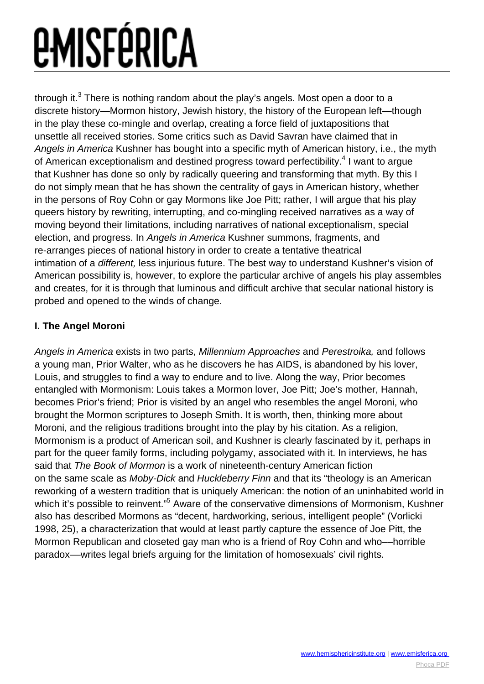through it.<sup>3</sup> There is nothing random about the play's angels. Most open a door to a discrete history—Mormon history, Jewish history, the history of the European left—though in the play these co-mingle and overlap, creating a force field of juxtapositions that unsettle all received stories. Some critics such as David Savran have claimed that in Angels in America Kushner has bought into a specific myth of American history, i.e., the myth of American exceptionalism and destined progress toward perfectibility.<sup>4</sup> I want to argue that Kushner has done so only by radically queering and transforming that myth. By this I do not simply mean that he has shown the centrality of gays in American history, whether in the persons of Roy Cohn or gay Mormons like Joe Pitt; rather, I will argue that his play queers history by rewriting, interrupting, and co-mingling received narratives as a way of moving beyond their limitations, including narratives of national exceptionalism, special election, and progress. In Angels in America Kushner summons, fragments, and re-arranges pieces of national history in order to create a tentative theatrical intimation of a different, less injurious future. The best way to understand Kushner's vision of American possibility is, however, to explore the particular archive of angels his play assembles and creates, for it is through that luminous and difficult archive that secular national history is probed and opened to the winds of change.

#### **I. The Angel Moroni**

Angels in America exists in two parts, Millennium Approaches and Perestroika, and follows a young man, Prior Walter, who as he discovers he has AIDS, is abandoned by his lover, Louis, and struggles to find a way to endure and to live. Along the way, Prior becomes entangled with Mormonism: Louis takes a Mormon lover, Joe Pitt; Joe's mother, Hannah, becomes Prior's friend; Prior is visited by an angel who resembles the angel Moroni, who brought the Mormon scriptures to Joseph Smith. It is worth, then, thinking more about Moroni, and the religious traditions brought into the play by his citation. As a religion, Mormonism is a product of American soil, and Kushner is clearly fascinated by it, perhaps in part for the queer family forms, including polygamy, associated with it. In interviews, he has said that The Book of Mormon is a work of nineteenth-century American fiction on the same scale as Moby-Dick and Huckleberry Finn and that its "theology is an American reworking of a western tradition that is uniquely American: the notion of an uninhabited world in which it's possible to reinvent."<sup>5</sup> Aware of the conservative dimensions of Mormonism, Kushner also has described Mormons as "decent, hardworking, serious, intelligent people" (Vorlicki 1998, 25), a characterization that would at least partly capture the essence of Joe Pitt, the Mormon Republican and closeted gay man who is a friend of Roy Cohn and who––horrible paradox––writes legal briefs arguing for the limitation of homosexuals' civil rights.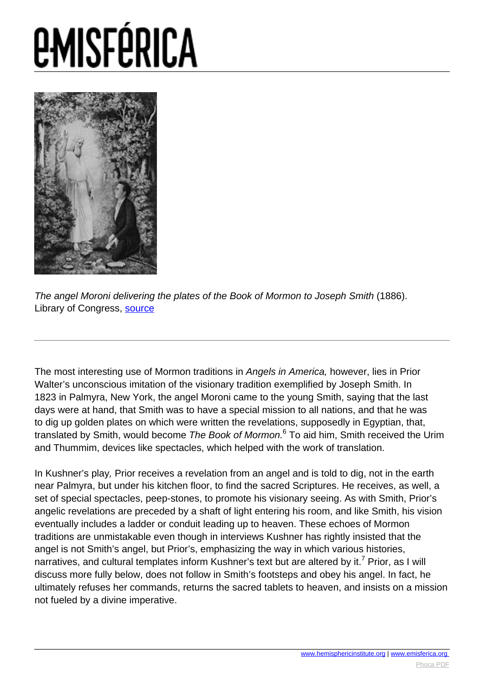

The angel Moroni delivering the plates of the Book of Mormon to Joseph Smith (1886). Library of Congress, [source](http://www.loc.gov/pictures/item/2003680615/)

The most interesting use of Mormon traditions in Angels in America, however, lies in Prior Walter's unconscious imitation of the visionary tradition exemplified by Joseph Smith. In 1823 in Palmyra, New York, the angel Moroni came to the young Smith, saying that the last days were at hand, that Smith was to have a special mission to all nations, and that he was to dig up golden plates on which were written the revelations, supposedly in Egyptian, that, translated by Smith, would become *The Book of Mormon.*<sup>6</sup> To aid him, Smith received the Urim and Thummim, devices like spectacles, which helped with the work of translation.

In Kushner's play, Prior receives a revelation from an angel and is told to dig, not in the earth near Palmyra, but under his kitchen floor, to find the sacred Scriptures. He receives, as well, a set of special spectacles, peep-stones, to promote his visionary seeing. As with Smith, Prior's angelic revelations are preceded by a shaft of light entering his room, and like Smith, his vision eventually includes a ladder or conduit leading up to heaven. These echoes of Mormon traditions are unmistakable even though in interviews Kushner has rightly insisted that the angel is not Smith's angel, but Prior's, emphasizing the way in which various histories, narratives, and cultural templates inform Kushner's text but are altered by it.<sup>7</sup> Prior, as I will discuss more fully below, does not follow in Smith's footsteps and obey his angel. In fact, he ultimately refuses her commands, returns the sacred tablets to heaven, and insists on a mission not fueled by a divine imperative.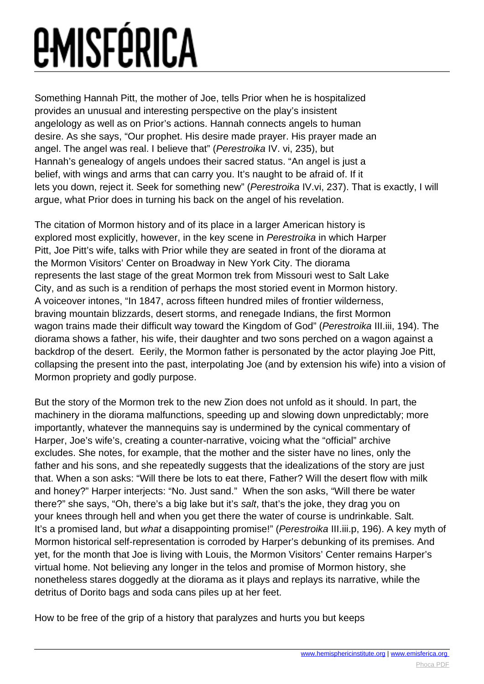Something Hannah Pitt, the mother of Joe, tells Prior when he is hospitalized provides an unusual and interesting perspective on the play's insistent angelology as well as on Prior's actions. Hannah connects angels to human desire. As she says, "Our prophet. His desire made prayer. His prayer made an angel. The angel was real. I believe that" (Perestroika IV. vi, 235), but Hannah's genealogy of angels undoes their sacred status. "An angel is just a belief, with wings and arms that can carry you. It's naught to be afraid of. If it lets you down, reject it. Seek for something new" (Perestroika IV.vi, 237). That is exactly, I will argue, what Prior does in turning his back on the angel of his revelation.

The citation of Mormon history and of its place in a larger American history is explored most explicitly, however, in the key scene in Perestroika in which Harper Pitt, Joe Pitt's wife, talks with Prior while they are seated in front of the diorama at the Mormon Visitors' Center on Broadway in New York City. The diorama represents the last stage of the great Mormon trek from Missouri west to Salt Lake City, and as such is a rendition of perhaps the most storied event in Mormon history. A voiceover intones, "In 1847, across fifteen hundred miles of frontier wilderness, braving mountain blizzards, desert storms, and renegade Indians, the first Mormon wagon trains made their difficult way toward the Kingdom of God" (Perestroika III.iii, 194). The diorama shows a father, his wife, their daughter and two sons perched on a wagon against a backdrop of the desert. Eerily, the Mormon father is personated by the actor playing Joe Pitt, collapsing the present into the past, interpolating Joe (and by extension his wife) into a vision of Mormon propriety and godly purpose.

But the story of the Mormon trek to the new Zion does not unfold as it should. In part, the machinery in the diorama malfunctions, speeding up and slowing down unpredictably; more importantly, whatever the mannequins say is undermined by the cynical commentary of Harper, Joe's wife's, creating a counter-narrative, voicing what the "official" archive excludes. She notes, for example, that the mother and the sister have no lines, only the father and his sons, and she repeatedly suggests that the idealizations of the story are just that. When a son asks: "Will there be lots to eat there, Father? Will the desert flow with milk and honey?" Harper interjects: "No. Just sand." When the son asks, "Will there be water there?" she says, "Oh, there's a big lake but it's salt, that's the joke, they drag you on your knees through hell and when you get there the water of course is undrinkable. Salt. It's a promised land, but what a disappointing promise!" (Perestroika III.iii.p, 196). A key myth of Mormon historical self-representation is corroded by Harper's debunking of its premises. And yet, for the month that Joe is living with Louis, the Mormon Visitors' Center remains Harper's virtual home. Not believing any longer in the telos and promise of Mormon history, she nonetheless stares doggedly at the diorama as it plays and replays its narrative, while the detritus of Dorito bags and soda cans piles up at her feet.

How to be free of the grip of a history that paralyzes and hurts you but keeps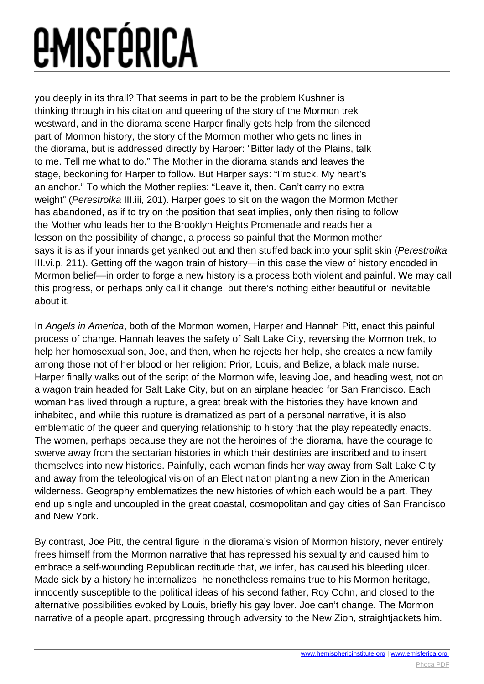you deeply in its thrall? That seems in part to be the problem Kushner is thinking through in his citation and queering of the story of the Mormon trek westward, and in the diorama scene Harper finally gets help from the silenced part of Mormon history, the story of the Mormon mother who gets no lines in the diorama, but is addressed directly by Harper: "Bitter lady of the Plains, talk to me. Tell me what to do." The Mother in the diorama stands and leaves the stage, beckoning for Harper to follow. But Harper says: "I'm stuck. My heart's an anchor." To which the Mother replies: "Leave it, then. Can't carry no extra weight" (Perestroika III.iii, 201). Harper goes to sit on the wagon the Mormon Mother has abandoned, as if to try on the position that seat implies, only then rising to follow the Mother who leads her to the Brooklyn Heights Promenade and reads her a lesson on the possibility of change, a process so painful that the Mormon mother says it is as if your innards get yanked out and then stuffed back into your split skin (Perestroika III.vi.p. 211). Getting off the wagon train of history—in this case the view of history encoded in Mormon belief—in order to forge a new history is a process both violent and painful. We may call this progress, or perhaps only call it change, but there's nothing either beautiful or inevitable about it.

In Angels in America, both of the Mormon women, Harper and Hannah Pitt, enact this painful process of change. Hannah leaves the safety of Salt Lake City, reversing the Mormon trek, to help her homosexual son, Joe, and then, when he rejects her help, she creates a new family among those not of her blood or her religion: Prior, Louis, and Belize, a black male nurse. Harper finally walks out of the script of the Mormon wife, leaving Joe, and heading west, not on a wagon train headed for Salt Lake City, but on an airplane headed for San Francisco. Each woman has lived through a rupture, a great break with the histories they have known and inhabited, and while this rupture is dramatized as part of a personal narrative, it is also emblematic of the queer and querying relationship to history that the play repeatedly enacts. The women, perhaps because they are not the heroines of the diorama, have the courage to swerve away from the sectarian histories in which their destinies are inscribed and to insert themselves into new histories. Painfully, each woman finds her way away from Salt Lake City and away from the teleological vision of an Elect nation planting a new Zion in the American wilderness. Geography emblematizes the new histories of which each would be a part. They end up single and uncoupled in the great coastal, cosmopolitan and gay cities of San Francisco and New York.

By contrast, Joe Pitt, the central figure in the diorama's vision of Mormon history, never entirely frees himself from the Mormon narrative that has repressed his sexuality and caused him to embrace a self-wounding Republican rectitude that, we infer, has caused his bleeding ulcer. Made sick by a history he internalizes, he nonetheless remains true to his Mormon heritage, innocently susceptible to the political ideas of his second father, Roy Cohn, and closed to the alternative possibilities evoked by Louis, briefly his gay lover. Joe can't change. The Mormon narrative of a people apart, progressing through adversity to the New Zion, straightjackets him.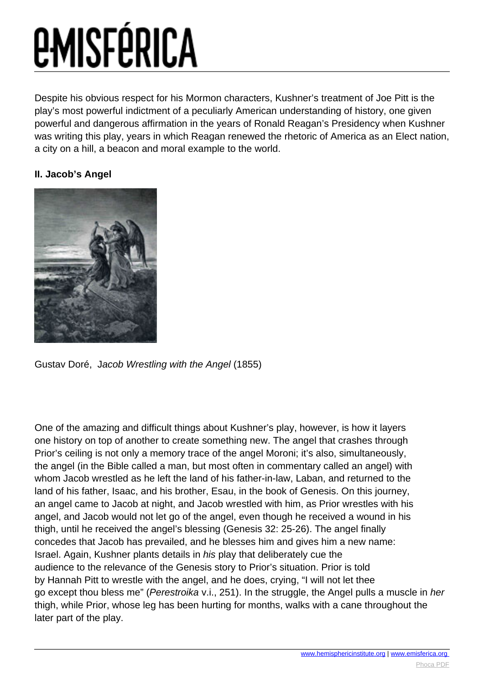Despite his obvious respect for his Mormon characters, Kushner's treatment of Joe Pitt is the play's most powerful indictment of a peculiarly American understanding of history, one given powerful and dangerous affirmation in the years of Ronald Reagan's Presidency when Kushner was writing this play, years in which Reagan renewed the rhetoric of America as an Elect nation, a city on a hill, a beacon and moral example to the world.

#### **II. Jacob's Angel**



Gustav Doré, Jacob Wrestling with the Angel (1855)

One of the amazing and difficult things about Kushner's play, however, is how it layers one history on top of another to create something new. The angel that crashes through Prior's ceiling is not only a memory trace of the angel Moroni; it's also, simultaneously, the angel (in the Bible called a man, but most often in commentary called an angel) with whom Jacob wrestled as he left the land of his father-in-law, Laban, and returned to the land of his father, Isaac, and his brother, Esau, in the book of Genesis. On this journey, an angel came to Jacob at night, and Jacob wrestled with him, as Prior wrestles with his angel, and Jacob would not let go of the angel, even though he received a wound in his thigh, until he received the angel's blessing (Genesis 32: 25-26). The angel finally concedes that Jacob has prevailed, and he blesses him and gives him a new name: Israel. Again, Kushner plants details in his play that deliberately cue the audience to the relevance of the Genesis story to Prior's situation. Prior is told by Hannah Pitt to wrestle with the angel, and he does, crying, "I will not let thee go except thou bless me" (Perestroika v.i., 251). In the struggle, the Angel pulls a muscle in her thigh, while Prior, whose leg has been hurting for months, walks with a cane throughout the later part of the play.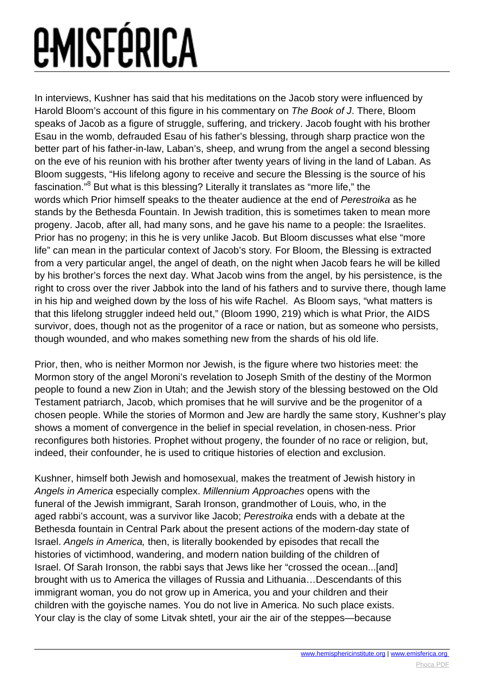In interviews, Kushner has said that his meditations on the Jacob story were influenced by Harold Bloom's account of this figure in his commentary on The Book of J. There, Bloom speaks of Jacob as a figure of struggle, suffering, and trickery. Jacob fought with his brother Esau in the womb, defrauded Esau of his father's blessing, through sharp practice won the better part of his father-in-law, Laban's, sheep, and wrung from the angel a second blessing on the eve of his reunion with his brother after twenty years of living in the land of Laban. As Bloom suggests, "His lifelong agony to receive and secure the Blessing is the source of his fascination."<sup>8</sup> But what is this blessing? Literally it translates as "more life," the words which Prior himself speaks to the theater audience at the end of Perestroika as he stands by the Bethesda Fountain. In Jewish tradition, this is sometimes taken to mean more progeny. Jacob, after all, had many sons, and he gave his name to a people: the Israelites. Prior has no progeny; in this he is very unlike Jacob. But Bloom discusses what else "more life" can mean in the particular context of Jacob's story. For Bloom, the Blessing is extracted from a very particular angel, the angel of death, on the night when Jacob fears he will be killed by his brother's forces the next day. What Jacob wins from the angel, by his persistence, is the right to cross over the river Jabbok into the land of his fathers and to survive there, though lame in his hip and weighed down by the loss of his wife Rachel. As Bloom says, "what matters is that this lifelong struggler indeed held out," (Bloom 1990, 219) which is what Prior, the AIDS survivor, does, though not as the progenitor of a race or nation, but as someone who persists, though wounded, and who makes something new from the shards of his old life.

Prior, then, who is neither Mormon nor Jewish, is the figure where two histories meet: the Mormon story of the angel Moroni's revelation to Joseph Smith of the destiny of the Mormon people to found a new Zion in Utah; and the Jewish story of the blessing bestowed on the Old Testament patriarch, Jacob, which promises that he will survive and be the progenitor of a chosen people. While the stories of Mormon and Jew are hardly the same story, Kushner's play shows a moment of convergence in the belief in special revelation, in chosen-ness. Prior reconfigures both histories. Prophet without progeny, the founder of no race or religion, but, indeed, their confounder, he is used to critique histories of election and exclusion.

Kushner, himself both Jewish and homosexual, makes the treatment of Jewish history in Angels in America especially complex. Millennium Approaches opens with the funeral of the Jewish immigrant, Sarah Ironson, grandmother of Louis, who, in the aged rabbi's account, was a survivor like Jacob; Perestroika ends with a debate at the Bethesda fountain in Central Park about the present actions of the modern-day state of Israel. Angels in America, then, is literally bookended by episodes that recall the histories of victimhood, wandering, and modern nation building of the children of Israel. Of Sarah Ironson, the rabbi says that Jews like her "crossed the ocean...[and] brought with us to America the villages of Russia and Lithuania…Descendants of this immigrant woman, you do not grow up in America, you and your children and their children with the goyische names. You do not live in America. No such place exists. Your clay is the clay of some Litvak shtetl, your air the air of the steppes—because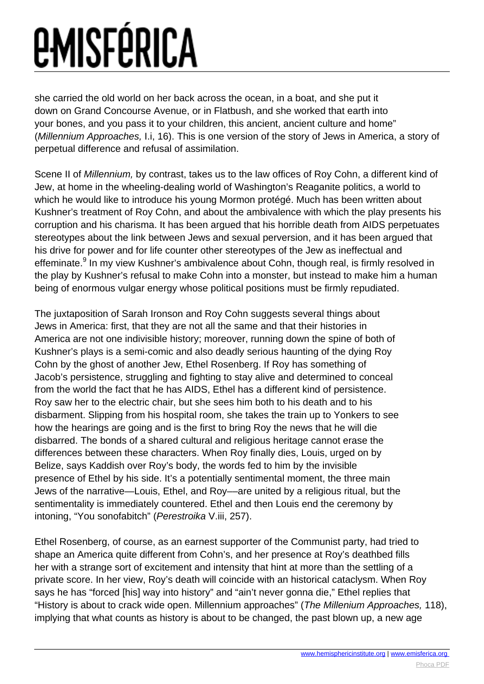she carried the old world on her back across the ocean, in a boat, and she put it down on Grand Concourse Avenue, or in Flatbush, and she worked that earth into your bones, and you pass it to your children, this ancient, ancient culture and home" (Millennium Approaches, I.i, 16). This is one version of the story of Jews in America, a story of perpetual difference and refusal of assimilation.

Scene II of Millennium, by contrast, takes us to the law offices of Roy Cohn, a different kind of Jew, at home in the wheeling-dealing world of Washington's Reaganite politics, a world to which he would like to introduce his young Mormon protégé. Much has been written about Kushner's treatment of Roy Cohn, and about the ambivalence with which the play presents his corruption and his charisma. It has been argued that his horrible death from AIDS perpetuates stereotypes about the link between Jews and sexual perversion, and it has been argued that his drive for power and for life counter other stereotypes of the Jew as ineffectual and effeminate.<sup>9</sup> In my view Kushner's ambivalence about Cohn, though real, is firmly resolved in the play by Kushner's refusal to make Cohn into a monster, but instead to make him a human being of enormous vulgar energy whose political positions must be firmly repudiated.

The juxtaposition of Sarah Ironson and Roy Cohn suggests several things about Jews in America: first, that they are not all the same and that their histories in America are not one indivisible history; moreover, running down the spine of both of Kushner's plays is a semi-comic and also deadly serious haunting of the dying Roy Cohn by the ghost of another Jew, Ethel Rosenberg. If Roy has something of Jacob's persistence, struggling and fighting to stay alive and determined to conceal from the world the fact that he has AIDS, Ethel has a different kind of persistence. Roy saw her to the electric chair, but she sees him both to his death and to his disbarment. Slipping from his hospital room, she takes the train up to Yonkers to see how the hearings are going and is the first to bring Roy the news that he will die disbarred. The bonds of a shared cultural and religious heritage cannot erase the differences between these characters. When Roy finally dies, Louis, urged on by Belize, says Kaddish over Roy's body, the words fed to him by the invisible presence of Ethel by his side. It's a potentially sentimental moment, the three main Jews of the narrative—Louis, Ethel, and Roy––are united by a religious ritual, but the sentimentality is immediately countered. Ethel and then Louis end the ceremony by intoning, "You sonofabitch" (Perestroika V.iii, 257).

Ethel Rosenberg, of course, as an earnest supporter of the Communist party, had tried to shape an America quite different from Cohn's, and her presence at Roy's deathbed fills her with a strange sort of excitement and intensity that hint at more than the settling of a private score. In her view, Roy's death will coincide with an historical cataclysm. When Roy says he has "forced [his] way into history" and "ain't never gonna die," Ethel replies that "History is about to crack wide open. Millennium approaches" (The Millenium Approaches, 118), implying that what counts as history is about to be changed, the past blown up, a new age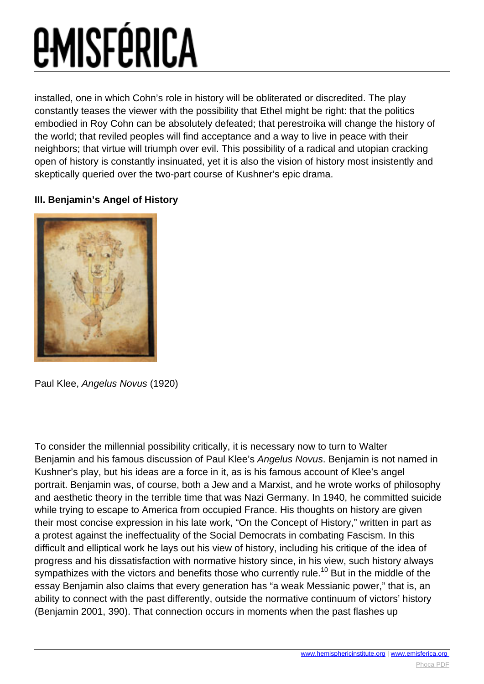installed, one in which Cohn's role in history will be obliterated or discredited. The play constantly teases the viewer with the possibility that Ethel might be right: that the politics embodied in Roy Cohn can be absolutely defeated; that perestroika will change the history of the world; that reviled peoples will find acceptance and a way to live in peace with their neighbors; that virtue will triumph over evil. This possibility of a radical and utopian cracking open of history is constantly insinuated, yet it is also the vision of history most insistently and skeptically queried over the two-part course of Kushner's epic drama.

#### **III. Benjamin's Angel of History**



Paul Klee, Angelus Novus (1920)

To consider the millennial possibility critically, it is necessary now to turn to Walter Benjamin and his famous discussion of Paul Klee's Angelus Novus. Benjamin is not named in Kushner's play, but his ideas are a force in it, as is his famous account of Klee's angel portrait. Benjamin was, of course, both a Jew and a Marxist, and he wrote works of philosophy and aesthetic theory in the terrible time that was Nazi Germany. In 1940, he committed suicide while trying to escape to America from occupied France. His thoughts on history are given their most concise expression in his late work, "On the Concept of History," written in part as a protest against the ineffectuality of the Social Democrats in combating Fascism. In this difficult and elliptical work he lays out his view of history, including his critique of the idea of progress and his dissatisfaction with normative history since, in his view, such history always sympathizes with the victors and benefits those who currently rule.<sup>10</sup> But in the middle of the essay Benjamin also claims that every generation has "a weak Messianic power," that is, an ability to connect with the past differently, outside the normative continuum of victors' history (Benjamin 2001, 390). That connection occurs in moments when the past flashes up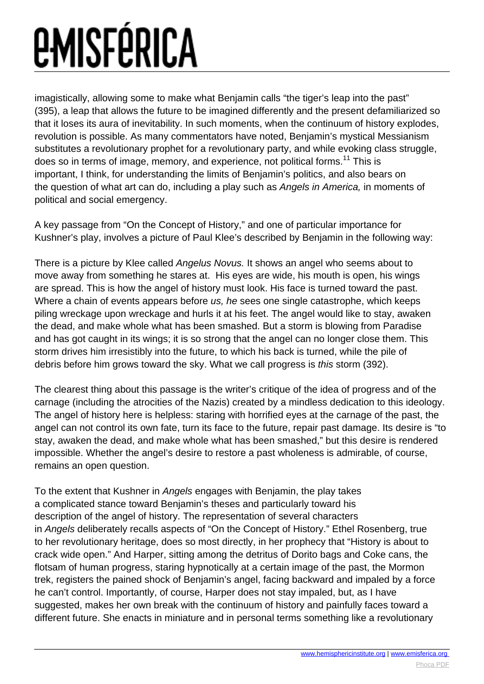imagistically, allowing some to make what Benjamin calls "the tiger's leap into the past" (395), a leap that allows the future to be imagined differently and the present defamiliarized so that it loses its aura of inevitability. In such moments, when the continuum of history explodes, revolution is possible. As many commentators have noted, Benjamin's mystical Messianism substitutes a revolutionary prophet for a revolutionary party, and while evoking class struggle, does so in terms of image, memory, and experience, not political forms.<sup>11</sup> This is important, I think, for understanding the limits of Benjamin's politics, and also bears on the question of what art can do, including a play such as Angels in America, in moments of political and social emergency.

A key passage from "On the Concept of History," and one of particular importance for Kushner's play, involves a picture of Paul Klee's described by Benjamin in the following way:

There is a picture by Klee called Angelus Novus. It shows an angel who seems about to move away from something he stares at. His eyes are wide, his mouth is open, his wings are spread. This is how the angel of history must look. His face is turned toward the past. Where a chain of events appears before us, he sees one single catastrophe, which keeps piling wreckage upon wreckage and hurls it at his feet. The angel would like to stay, awaken the dead, and make whole what has been smashed. But a storm is blowing from Paradise and has got caught in its wings; it is so strong that the angel can no longer close them. This storm drives him irresistibly into the future, to which his back is turned, while the pile of debris before him grows toward the sky. What we call progress is this storm (392).

The clearest thing about this passage is the writer's critique of the idea of progress and of the carnage (including the atrocities of the Nazis) created by a mindless dedication to this ideology. The angel of history here is helpless: staring with horrified eyes at the carnage of the past, the angel can not control its own fate, turn its face to the future, repair past damage. Its desire is "to stay, awaken the dead, and make whole what has been smashed," but this desire is rendered impossible. Whether the angel's desire to restore a past wholeness is admirable, of course, remains an open question.

To the extent that Kushner in Angels engages with Benjamin, the play takes a complicated stance toward Benjamin's theses and particularly toward his description of the angel of history. The representation of several characters in Angels deliberately recalls aspects of "On the Concept of History." Ethel Rosenberg, true to her revolutionary heritage, does so most directly, in her prophecy that "History is about to crack wide open." And Harper, sitting among the detritus of Dorito bags and Coke cans, the flotsam of human progress, staring hypnotically at a certain image of the past, the Mormon trek, registers the pained shock of Benjamin's angel, facing backward and impaled by a force he can't control. Importantly, of course, Harper does not stay impaled, but, as I have suggested, makes her own break with the continuum of history and painfully faces toward a different future. She enacts in miniature and in personal terms something like a revolutionary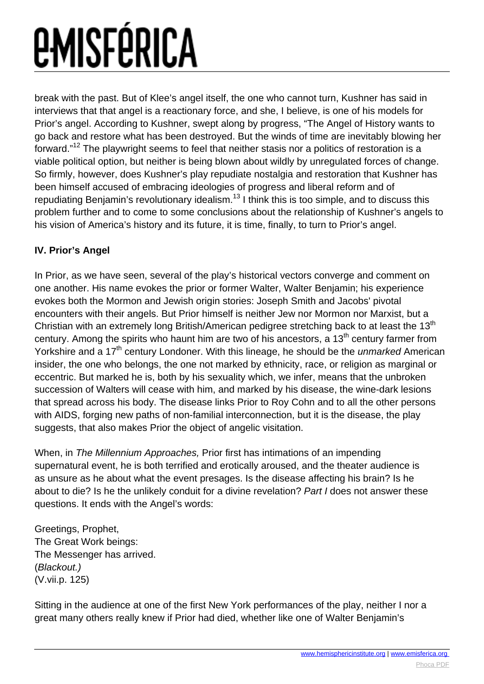break with the past. But of Klee's angel itself, the one who cannot turn, Kushner has said in interviews that that angel is a reactionary force, and she, I believe, is one of his models for Prior's angel. According to Kushner, swept along by progress, "The Angel of History wants to go back and restore what has been destroyed. But the winds of time are inevitably blowing her forward."<sup>12</sup> The playwright seems to feel that neither stasis nor a politics of restoration is a viable political option, but neither is being blown about wildly by unregulated forces of change. So firmly, however, does Kushner's play repudiate nostalgia and restoration that Kushner has been himself accused of embracing ideologies of progress and liberal reform and of repudiating Benjamin's revolutionary idealism.<sup>13</sup> I think this is too simple, and to discuss this problem further and to come to some conclusions about the relationship of Kushner's angels to his vision of America's history and its future, it is time, finally, to turn to Prior's angel.

#### **IV. Prior's Angel**

In Prior, as we have seen, several of the play's historical vectors converge and comment on one another. His name evokes the prior or former Walter, Walter Benjamin; his experience evokes both the Mormon and Jewish origin stories: Joseph Smith and Jacobs' pivotal encounters with their angels. But Prior himself is neither Jew nor Mormon nor Marxist, but a Christian with an extremely long British/American pedigree stretching back to at least the 13<sup>th</sup> century. Among the spirits who haunt him are two of his ancestors, a  $13<sup>th</sup>$  century farmer from Yorkshire and a 17<sup>th</sup> century Londoner. With this lineage, he should be the *unmarked* American insider, the one who belongs, the one not marked by ethnicity, race, or religion as marginal or eccentric. But marked he is, both by his sexuality which, we infer, means that the unbroken succession of Walters will cease with him, and marked by his disease, the wine-dark lesions that spread across his body. The disease links Prior to Roy Cohn and to all the other persons with AIDS, forging new paths of non-familial interconnection, but it is the disease, the play suggests, that also makes Prior the object of angelic visitation.

When, in The Millennium Approaches, Prior first has intimations of an impending supernatural event, he is both terrified and erotically aroused, and the theater audience is as unsure as he about what the event presages. Is the disease affecting his brain? Is he about to die? Is he the unlikely conduit for a divine revelation? Part I does not answer these questions. It ends with the Angel's words:

Greetings, Prophet, The Great Work beings: The Messenger has arrived. (Blackout.) (V.vii.p. 125)

Sitting in the audience at one of the first New York performances of the play, neither I nor a great many others really knew if Prior had died, whether like one of Walter Benjamin's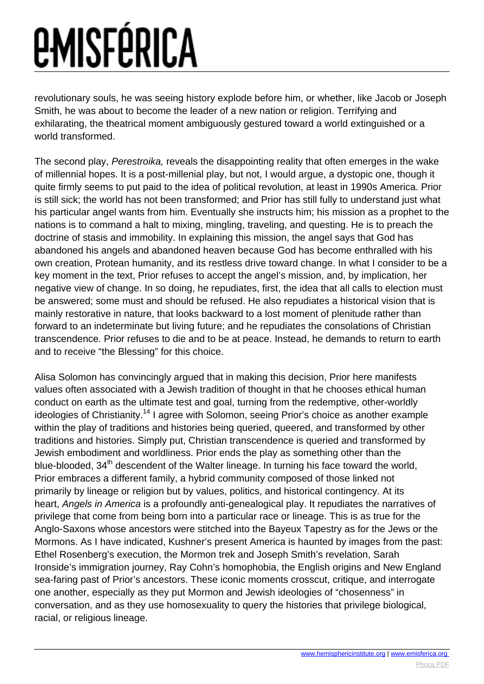revolutionary souls, he was seeing history explode before him, or whether, like Jacob or Joseph Smith, he was about to become the leader of a new nation or religion. Terrifying and exhilarating, the theatrical moment ambiguously gestured toward a world extinguished or a world transformed.

The second play, Perestroika, reveals the disappointing reality that often emerges in the wake of millennial hopes. It is a post-millenial play, but not, I would argue, a dystopic one, though it quite firmly seems to put paid to the idea of political revolution, at least in 1990s America. Prior is still sick; the world has not been transformed; and Prior has still fully to understand just what his particular angel wants from him. Eventually she instructs him; his mission as a prophet to the nations is to command a halt to mixing, mingling, traveling, and questing. He is to preach the doctrine of stasis and immobility. In explaining this mission, the angel says that God has abandoned his angels and abandoned heaven because God has become enthralled with his own creation, Protean humanity, and its restless drive toward change. In what I consider to be a key moment in the text, Prior refuses to accept the angel's mission, and, by implication, her negative view of change. In so doing, he repudiates, first, the idea that all calls to election must be answered; some must and should be refused. He also repudiates a historical vision that is mainly restorative in nature, that looks backward to a lost moment of plenitude rather than forward to an indeterminate but living future; and he repudiates the consolations of Christian transcendence. Prior refuses to die and to be at peace. Instead, he demands to return to earth and to receive "the Blessing" for this choice.

Alisa Solomon has convincingly argued that in making this decision, Prior here manifests values often associated with a Jewish tradition of thought in that he chooses ethical human conduct on earth as the ultimate test and goal, turning from the redemptive, other-worldly ideologies of Christianity.<sup>14</sup> I agree with Solomon, seeing Prior's choice as another example within the play of traditions and histories being queried, queered, and transformed by other traditions and histories. Simply put, Christian transcendence is queried and transformed by Jewish embodiment and worldliness. Prior ends the play as something other than the blue-blooded, 34<sup>th</sup> descendent of the Walter lineage. In turning his face toward the world, Prior embraces a different family, a hybrid community composed of those linked not primarily by lineage or religion but by values, politics, and historical contingency. At its heart, Angels in America is a profoundly anti-genealogical play. It repudiates the narratives of privilege that come from being born into a particular race or lineage. This is as true for the Anglo-Saxons whose ancestors were stitched into the Bayeux Tapestry as for the Jews or the Mormons. As I have indicated, Kushner's present America is haunted by images from the past: Ethel Rosenberg's execution, the Mormon trek and Joseph Smith's revelation, Sarah Ironside's immigration journey, Ray Cohn's homophobia, the English origins and New England sea-faring past of Prior's ancestors. These iconic moments crosscut, critique, and interrogate one another, especially as they put Mormon and Jewish ideologies of "chosenness" in conversation, and as they use homosexuality to query the histories that privilege biological, racial, or religious lineage.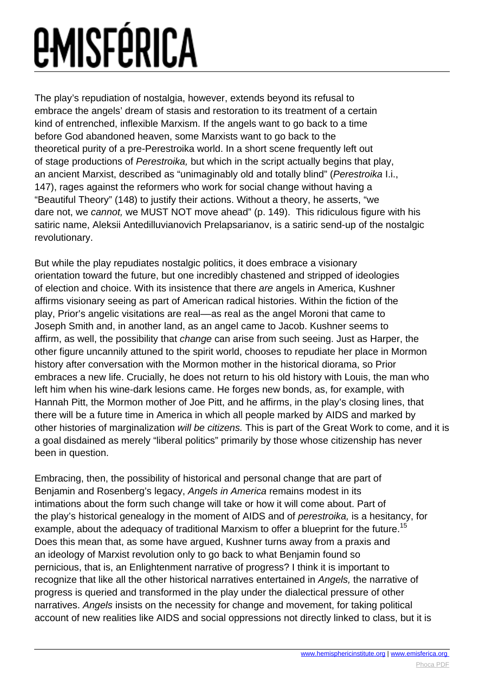The play's repudiation of nostalgia, however, extends beyond its refusal to embrace the angels' dream of stasis and restoration to its treatment of a certain kind of entrenched, inflexible Marxism. If the angels want to go back to a time before God abandoned heaven, some Marxists want to go back to the theoretical purity of a pre-Perestroika world. In a short scene frequently left out of stage productions of Perestroika, but which in the script actually begins that play, an ancient Marxist, described as "unimaginably old and totally blind" (Perestroika I.i., 147), rages against the reformers who work for social change without having a "Beautiful Theory" (148) to justify their actions. Without a theory, he asserts, "we dare not, we cannot, we MUST NOT move ahead" (p. 149). This ridiculous figure with his satiric name, Aleksii Antedilluvianovich Prelapsarianov, is a satiric send-up of the nostalgic revolutionary.

But while the play repudiates nostalgic politics, it does embrace a visionary orientation toward the future, but one incredibly chastened and stripped of ideologies of election and choice. With its insistence that there are angels in America, Kushner affirms visionary seeing as part of American radical histories. Within the fiction of the play, Prior's angelic visitations are real––as real as the angel Moroni that came to Joseph Smith and, in another land, as an angel came to Jacob. Kushner seems to affirm, as well, the possibility that change can arise from such seeing. Just as Harper, the other figure uncannily attuned to the spirit world, chooses to repudiate her place in Mormon history after conversation with the Mormon mother in the historical diorama, so Prior embraces a new life. Crucially, he does not return to his old history with Louis, the man who left him when his wine-dark lesions came. He forges new bonds, as, for example, with Hannah Pitt, the Mormon mother of Joe Pitt, and he affirms, in the play's closing lines, that there will be a future time in America in which all people marked by AIDS and marked by other histories of marginalization will be citizens. This is part of the Great Work to come, and it is a goal disdained as merely "liberal politics" primarily by those whose citizenship has never been in question.

Embracing, then, the possibility of historical and personal change that are part of Benjamin and Rosenberg's legacy, Angels in America remains modest in its intimations about the form such change will take or how it will come about. Part of the play's historical genealogy in the moment of AIDS and of perestroika, is a hesitancy, for example, about the adequacy of traditional Marxism to offer a blueprint for the future.<sup>15</sup> Does this mean that, as some have argued, Kushner turns away from a praxis and an ideology of Marxist revolution only to go back to what Benjamin found so pernicious, that is, an Enlightenment narrative of progress? I think it is important to recognize that like all the other historical narratives entertained in Angels, the narrative of progress is queried and transformed in the play under the dialectical pressure of other narratives. Angels insists on the necessity for change and movement, for taking political account of new realities like AIDS and social oppressions not directly linked to class, but it is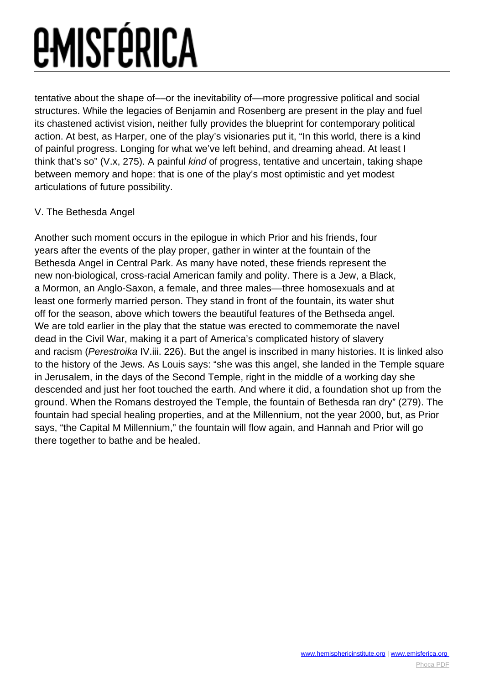tentative about the shape of—or the inevitability of—more progressive political and social structures. While the legacies of Benjamin and Rosenberg are present in the play and fuel its chastened activist vision, neither fully provides the blueprint for contemporary political action. At best, as Harper, one of the play's visionaries put it, "In this world, there is a kind of painful progress. Longing for what we've left behind, and dreaming ahead. At least I think that's so" (V.x, 275). A painful kind of progress, tentative and uncertain, taking shape between memory and hope: that is one of the play's most optimistic and yet modest articulations of future possibility.

#### V. The Bethesda Angel

Another such moment occurs in the epilogue in which Prior and his friends, four years after the events of the play proper, gather in winter at the fountain of the Bethesda Angel in Central Park. As many have noted, these friends represent the new non-biological, cross-racial American family and polity. There is a Jew, a Black, a Mormon, an Anglo-Saxon, a female, and three males––three homosexuals and at least one formerly married person. They stand in front of the fountain, its water shut off for the season, above which towers the beautiful features of the Bethseda angel. We are told earlier in the play that the statue was erected to commemorate the navel dead in the Civil War, making it a part of America's complicated history of slavery and racism (Perestroika IV.iii. 226). But the angel is inscribed in many histories. It is linked also to the history of the Jews. As Louis says: "she was this angel, she landed in the Temple square in Jerusalem, in the days of the Second Temple, right in the middle of a working day she descended and just her foot touched the earth. And where it did, a foundation shot up from the ground. When the Romans destroyed the Temple, the fountain of Bethesda ran dry" (279). The fountain had special healing properties, and at the Millennium, not the year 2000, but, as Prior says, "the Capital M Millennium," the fountain will flow again, and Hannah and Prior will go there together to bathe and be healed.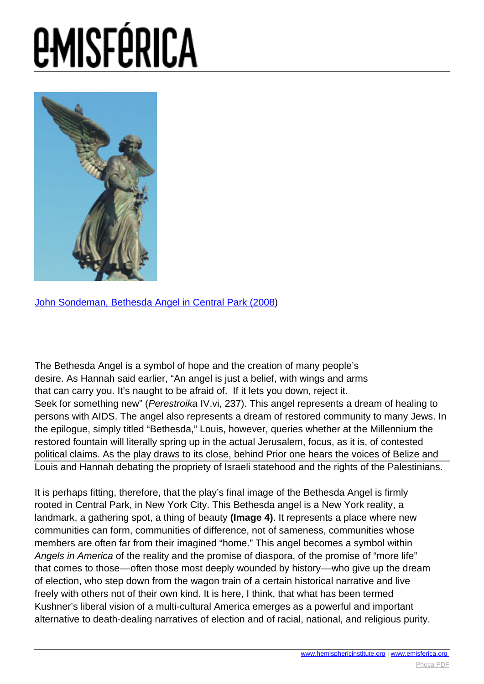

[John Sondeman, Bethesda Angel in Central Park \(2008](http://www.flickr.com/photos/johnsonderman/2211118640/))

The Bethesda Angel is a symbol of hope and the creation of many people's desire. As Hannah said earlier, "An angel is just a belief, with wings and arms that can carry you. It's naught to be afraid of. If it lets you down, reject it. Seek for something new" (Perestroika IV.vi, 237). This angel represents a dream of healing to persons with AIDS. The angel also represents a dream of restored community to many Jews. In the epilogue, simply titled "Bethesda," Louis, however, queries whether at the Millennium the restored fountain will literally spring up in the actual Jerusalem, focus, as it is, of contested political claims. As the play draws to its close, behind Prior one hears the voices of Belize and Louis and Hannah debating the propriety of Israeli statehood [and the rights of the](http://www.hemisphericinsitute.org/) [Palestinians.](http://www.emisferica.org/)

It is perhaps fitting, therefore, that the play's final image of the Bethesda Angel is firmly rooted in Central Park, in New York City. This Bethesda angel is a New York reality, a landmark, a gathering spot, a thing of beauty **(Image 4)**. It represents a place where new communities can form, communities of difference, not of sameness, communities whose members are often far from their imagined "home." This angel becomes a symbol within Angels in America of the reality and the promise of diaspora, of the promise of "more life" that comes to those––often those most deeply wounded by history––who give up the dream of election, who step down from the wagon train of a certain historical narrative and live freely with others not of their own kind. It is here, I think, that what has been termed Kushner's liberal vision of a multi-cultural America emerges as a powerful and important alternative to death-dealing narratives of election and of racial, national, and religious purity.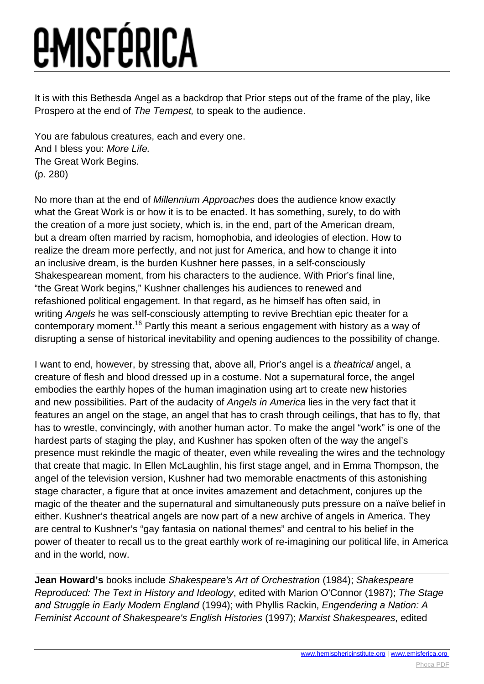It is with this Bethesda Angel as a backdrop that Prior steps out of the frame of the play, like Prospero at the end of The Tempest, to speak to the audience.

You are fabulous creatures, each and every one. And I bless you: More Life. The Great Work Begins. (p. 280)

No more than at the end of Millennium Approaches does the audience know exactly what the Great Work is or how it is to be enacted. It has something, surely, to do with the creation of a more just society, which is, in the end, part of the American dream, but a dream often married by racism, homophobia, and ideologies of election. How to realize the dream more perfectly, and not just for America, and how to change it into an inclusive dream, is the burden Kushner here passes, in a self-consciously Shakespearean moment, from his characters to the audience. With Prior's final line, "the Great Work begins," Kushner challenges his audiences to renewed and refashioned political engagement. In that regard, as he himself has often said, in writing Angels he was self-consciously attempting to revive Brechtian epic theater for a contemporary moment.<sup>16</sup> Partly this meant a serious engagement with history as a way of disrupting a sense of historical inevitability and opening audiences to the possibility of change.

I want to end, however, by stressing that, above all, Prior's angel is a *theatrical* angel, a creature of flesh and blood dressed up in a costume. Not a supernatural force, the angel embodies the earthly hopes of the human imagination using art to create new histories and new possibilities. Part of the audacity of Angels in America lies in the very fact that it features an angel on the stage, an angel that has to crash through ceilings, that has to fly, that has to wrestle, convincingly, with another human actor. To make the angel "work" is one of the hardest parts of staging the play, and Kushner has spoken often of the way the angel's presence must rekindle the magic of theater, even while revealing the wires and the technology that create that magic. In Ellen McLaughlin, his first stage angel, and in Emma Thompson, the angel of the television version, Kushner had two memorable enactments of this astonishing stage character, a figure that at once invites amazement and detachment, conjures up the magic of the theater and the supernatural and simultaneously puts pressure on a naïve belief in either. Kushner's theatrical angels are now part of a new archive of angels in America. They are central to Kushner's "gay fantasia on national themes" and central to his belief in the power of theater to recall us to the great earthly work of re-imagining our political life, in America and in the world, now.

**Jean Howard's** books include Shakespeare's Art of Orchestration (1984); Shakespeare Reproduced: The Text in History and Ideology, edited with Marion O'Connor (1987); The Stage and Struggle in Early Modern England (1994); with Phyllis Rackin, Engendering a Nation: A Feminist Account of Shakespeare's English Histories (1997); Marxist Shakespeares, edited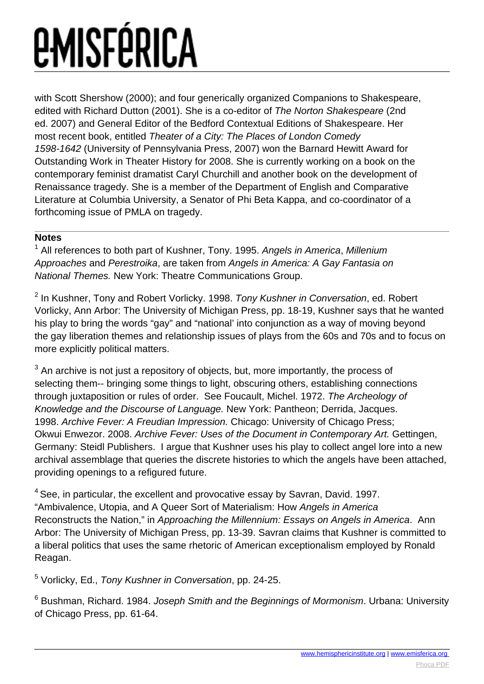with Scott Shershow (2000); and four generically organized Companions to Shakespeare, edited with Richard Dutton (2001). She is a co-editor of The Norton Shakespeare (2nd ed. 2007) and General Editor of the Bedford Contextual Editions of Shakespeare. Her most recent book, entitled Theater of a City: The Places of London Comedy 1598-1642 (University of Pennsylvania Press, 2007) won the Barnard Hewitt Award for Outstanding Work in Theater History for 2008. She is currently working on a book on the contemporary feminist dramatist Caryl Churchill and another book on the development of Renaissance tragedy. She is a member of the Department of English and Comparative Literature at Columbia University, a Senator of Phi Beta Kappa, and co-coordinator of a forthcoming issue of PMLA on tragedy.

#### **Notes**

<sup>1</sup> All references to both part of Kushner, Tony. 1995. Angels in America, Millenium Approaches and Perestroika, are taken from Angels in America: A Gay Fantasia on National Themes. New York: Theatre Communications Group.

<sup>2</sup> In Kushner, Tony and Robert Vorlicky. 1998. Tony Kushner in Conversation, ed. Robert Vorlicky, Ann Arbor: The University of Michigan Press, pp. 18-19, Kushner says that he wanted his play to bring the words "gay" and "national' into conjunction as a way of moving beyond the gay liberation themes and relationship issues of plays from the 60s and 70s and to focus on more explicitly political matters.

 $^3$  An archive is not just a repository of objects, but, more importantly, the process of selecting them-- bringing some things to light, obscuring others, establishing connections through juxtaposition or rules of order. See Foucault, Michel. 1972. The Archeology of Knowledge and the Discourse of Language. New York: Pantheon; Derrida, Jacques. 1998. Archive Fever: A Freudian Impression. Chicago: University of Chicago Press; Okwui Enwezor. 2008. Archive Fever: Uses of the Document in Contemporary Art. Gettingen, Germany: Steidl Publishers. I argue that Kushner uses his play to collect angel lore into a new archival assemblage that queries the discrete histories to which the angels have been attached, providing openings to a refigured future.

 $4$  See, in particular, the excellent and provocative essay by Savran, David, 1997. "Ambivalence, Utopia, and A Queer Sort of Materialism: How Angels in America Reconstructs the Nation," in Approaching the Millennium: Essays on Angels in America. Ann Arbor: The University of Michigan Press, pp. 13-39. Savran claims that Kushner is committed to a liberal politics that uses the same rhetoric of American exceptionalism employed by Ronald Reagan.

<sup>5</sup> Vorlicky, Ed., Tony Kushner in Conversation, pp. 24-25.

 $^6$  Bushman, Richard. 1984. *Joseph Smith and the Beginnings of Mormonism*. Urbana: University of Chicago Press, pp. 61-64.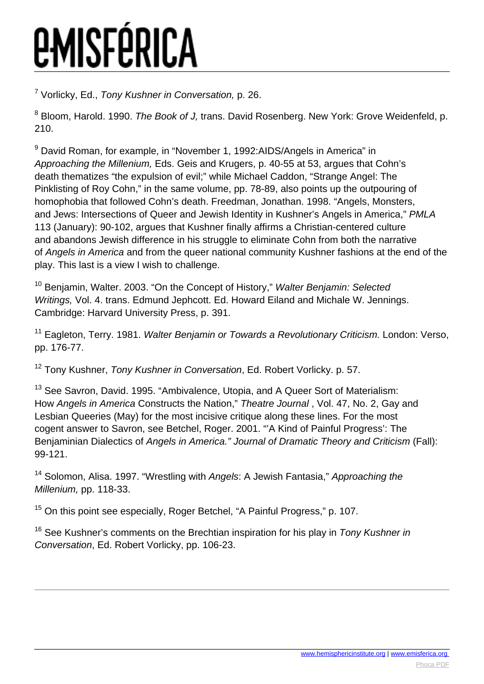<sup>7</sup> Vorlicky, Ed., Tony Kushner in Conversation, p. 26.

<sup>8</sup> Bloom, Harold. 1990. The Book of J, trans. David Rosenberg. New York: Grove Weidenfeld, p. 210.

<sup>9</sup> David Roman, for example, in "November 1, 1992:AIDS/Angels in America" in Approaching the Millenium, Eds. Geis and Krugers, p. 40-55 at 53, argues that Cohn's death thematizes "the expulsion of evil;" while Michael Caddon, "Strange Angel: The Pinklisting of Roy Cohn," in the same volume, pp. 78-89, also points up the outpouring of homophobia that followed Cohn's death. Freedman, Jonathan. 1998. "Angels, Monsters, and Jews: Intersections of Queer and Jewish Identity in Kushner's Angels in America," PMLA 113 (January): 90-102, argues that Kushner finally affirms a Christian-centered culture and abandons Jewish difference in his struggle to eliminate Cohn from both the narrative of Angels in America and from the queer national community Kushner fashions at the end of the play. This last is a view I wish to challenge.

<sup>10</sup> Beniamin. Walter. 2003. "On the Concept of History," Walter Benjamin: Selected Writings, Vol. 4. trans. Edmund Jephcott. Ed. Howard Eiland and Michale W. Jennings. Cambridge: Harvard University Press, p. 391.

<sup>11</sup> Eagleton. Terry. 1981. Walter Benjamin or Towards a Revolutionary Criticism. London: Verso, pp. 176-77.

<sup>12</sup> Tony Kushner, Tony Kushner in Conversation, Ed. Robert Vorlicky. p. 57.

<sup>13</sup> See Savron, David, 1995. "Ambivalence, Utopia, and A Queer Sort of Materialism: How Angels in America Constructs the Nation," Theatre Journal , Vol. 47, No. 2, Gay and Lesbian Queeries (May) for the most incisive critique along these lines. For the most cogent answer to Savron, see Betchel, Roger. 2001. "'A Kind of Painful Progress': The Benjaminian Dialectics of Angels in America." Journal of Dramatic Theory and Criticism (Fall): 99-121.

<sup>14</sup> Solomon, Alisa, 1997. "Wrestling with Angels: A Jewish Fantasia," Approaching the Millenium, pp. 118-33.

<sup>15</sup> On this point see especially, Roger Betchel, "A Painful Progress," p. 107.

 $16$  See Kushner's comments on the Brechtian inspiration for his play in Tony Kushner in Conversation, Ed. Robert Vorlicky, pp. 106-23.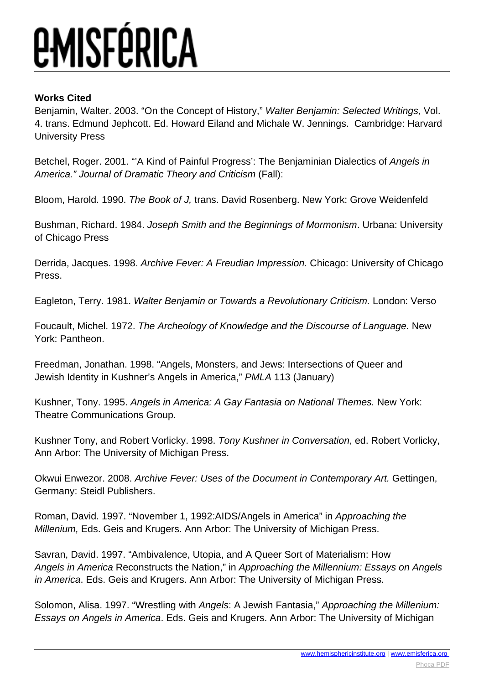#### **Works Cited**

Benjamin, Walter. 2003. "On the Concept of History," Walter Benjamin: Selected Writings, Vol. 4. trans. Edmund Jephcott. Ed. Howard Eiland and Michale W. Jennings. Cambridge: Harvard University Press

Betchel, Roger. 2001. "'A Kind of Painful Progress': The Benjaminian Dialectics of Angels in America." Journal of Dramatic Theory and Criticism (Fall):

Bloom, Harold. 1990. The Book of J, trans. David Rosenberg. New York: Grove Weidenfeld

Bushman, Richard. 1984. Joseph Smith and the Beginnings of Mormonism. Urbana: University of Chicago Press

Derrida, Jacques. 1998. Archive Fever: A Freudian Impression. Chicago: University of Chicago Press.

Eagleton, Terry. 1981. Walter Benjamin or Towards a Revolutionary Criticism. London: Verso

Foucault, Michel. 1972. The Archeology of Knowledge and the Discourse of Language. New York: Pantheon.

Freedman, Jonathan. 1998. "Angels, Monsters, and Jews: Intersections of Queer and Jewish Identity in Kushner's Angels in America," PMLA 113 (January)

Kushner, Tony. 1995. Angels in America: A Gay Fantasia on National Themes. New York: Theatre Communications Group.

Kushner Tony, and Robert Vorlicky. 1998. Tony Kushner in Conversation, ed. Robert Vorlicky, Ann Arbor: The University of Michigan Press.

Okwui Enwezor. 2008. Archive Fever: Uses of the Document in Contemporary Art. Gettingen, Germany: Steidl Publishers.

Roman, David. 1997. "November 1, 1992:AIDS/Angels in America" in Approaching the Millenium, Eds. Geis and Krugers. Ann Arbor: The University of Michigan Press.

Savran, David. 1997. "Ambivalence, Utopia, and A Queer Sort of Materialism: How Angels in America Reconstructs the Nation," in Approaching the Millennium: Essays on Angels in America. Eds. Geis and Krugers. Ann Arbor: The University of Michigan Press.

Solomon, Alisa. 1997. "Wrestling with Angels: A Jewish Fantasia," Approaching the Millenium: Essays on Angels in America. Eds. Geis and Krugers. Ann Arbor: The University of Michigan